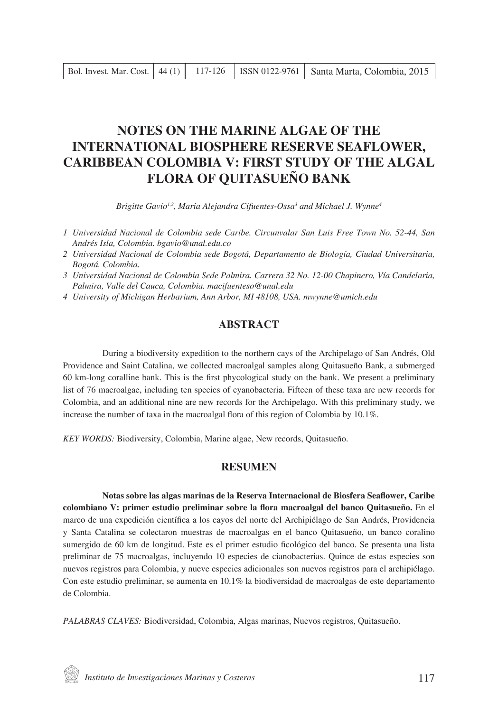# **NOTES ON THE MARINE ALGAE OF THE INTERNATIONAL BIOSPHERE RESERVE SEAFLOWER, CARIBBEAN COLOMBIA V: FIRST STUDY OF THE ALGAL FLORA OF QUITASUEÑO BANK**

*Brigitte Gavio1,2, Maria Alejandra Cifuentes-Ossa3 and Michael J. Wynne4*

- *1 Universidad Nacional de Colombia sede Caribe. Circunvalar San Luis Free Town No. 52-44, San Andrés Isla, Colombia. bgavio@unal.edu.co*
- *2 Universidad Nacional de Colombia sede Bogotá, Departamento de Biología, Ciudad Universitaria, Bogotá, Colombia.*
- *3 Universidad Nacional de Colombia Sede Palmira. Carrera 32 No. 12-00 Chapinero, Vía Candelaria, Palmira, Valle del Cauca, Colombia. macifuenteso@unal.edu*
- *4 University of Michigan Herbarium, Ann Arbor, MI 48108, USA. mwynne@umich.edu*

# **ABSTRACT**

During a biodiversity expedition to the northern cays of the Archipelago of San Andrés, Old Providence and Saint Catalina, we collected macroalgal samples along Quitasueño Bank, a submerged 60 km-long coralline bank. This is the first phycological study on the bank. We present a preliminary list of 76 macroalgae, including ten species of cyanobacteria. Fifteen of these taxa are new records for Colombia, and an additional nine are new records for the Archipelago. With this preliminary study, we increase the number of taxa in the macroalgal flora of this region of Colombia by 10.1%.

*KEY WORDS:* Biodiversity, Colombia, Marine algae, New records, Quitasueño.

## **RESUMEN**

**Notas sobre las algas marinas de la Reserva Internacional de Biosfera Seaflower, Caribe colombiano V: primer estudio preliminar sobre la flora macroalgal del banco Quitasueño.** En el marco de una expedición científica a los cayos del norte del Archipiélago de San Andrés, Providencia y Santa Catalina se colectaron muestras de macroalgas en el banco Quitasueño, un banco coralino sumergido de 60 km de longitud. Este es el primer estudio ficológico del banco. Se presenta una lista preliminar de 75 macroalgas, incluyendo 10 especies de cianobacterias. Quince de estas especies son nuevos registros para Colombia, y nueve especies adicionales son nuevos registros para el archipiélago. Con este estudio preliminar, se aumenta en 10.1% la biodiversidad de macroalgas de este departamento de Colombia.

*PALABRAS CLAVES:* Biodiversidad, Colombia, Algas marinas, Nuevos registros, Quitasueño.

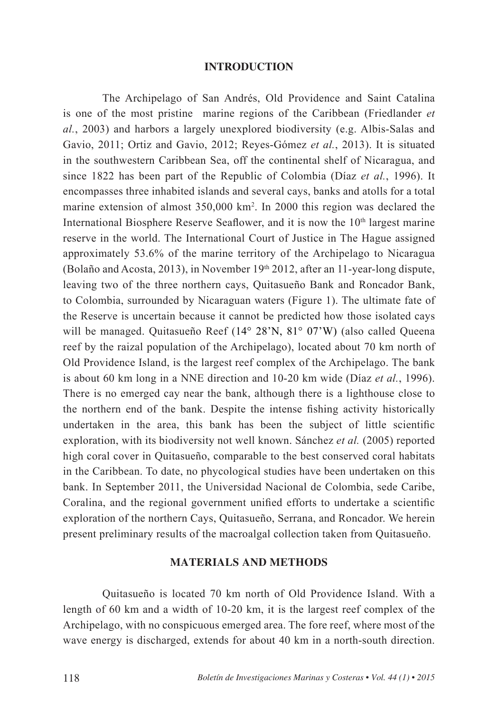# **INTRODUCTION**

The Archipelago of San Andrés, Old Providence and Saint Catalina is one of the most pristine marine regions of the Caribbean (Friedlander *et al.*, 2003) and harbors a largely unexplored biodiversity (e.g. Albis-Salas and Gavio, 2011; Ortiz and Gavio, 2012; Reyes-Gómez *et al.*, 2013). It is situated in the southwestern Caribbean Sea, off the continental shelf of Nicaragua, and since 1822 has been part of the Republic of Colombia (Díaz *et al.*, 1996). It encompasses three inhabited islands and several cays, banks and atolls for a total marine extension of almost 350,000 km2 . In 2000 this region was declared the International Biosphere Reserve Seaflower, and it is now the  $10<sup>th</sup>$  largest marine reserve in the world. The International Court of Justice in The Hague assigned approximately 53.6% of the marine territory of the Archipelago to Nicaragua (Bolaño and Acosta, 2013), in November 19th 2012, after an 11-year-long dispute, leaving two of the three northern cays, Quitasueño Bank and Roncador Bank, to Colombia, surrounded by Nicaraguan waters (Figure 1). The ultimate fate of the Reserve is uncertain because it cannot be predicted how those isolated cays will be managed. Quitasueño Reef (14° 28'N, 81° 07'W) (also called Queena reef by the raizal population of the Archipelago), located about 70 km north of Old Providence Island, is the largest reef complex of the Archipelago. The bank is about 60 km long in a NNE direction and 10-20 km wide (Díaz *et al.*, 1996). There is no emerged cay near the bank, although there is a lighthouse close to the northern end of the bank. Despite the intense fishing activity historically undertaken in the area, this bank has been the subject of little scientific exploration, with its biodiversity not well known. Sánchez *et al.* (2005) reported high coral cover in Quitasueño, comparable to the best conserved coral habitats in the Caribbean. To date, no phycological studies have been undertaken on this bank. In September 2011, the Universidad Nacional de Colombia, sede Caribe, Coralina, and the regional government unified efforts to undertake a scientific exploration of the northern Cays, Quitasueño, Serrana, and Roncador. We herein present preliminary results of the macroalgal collection taken from Quitasueño.

# **MATERIALS AND METHODS**

Quitasueño is located 70 km north of Old Providence Island. With a length of 60 km and a width of 10-20 km, it is the largest reef complex of the Archipelago, with no conspicuous emerged area. The fore reef, where most of the wave energy is discharged, extends for about 40 km in a north-south direction.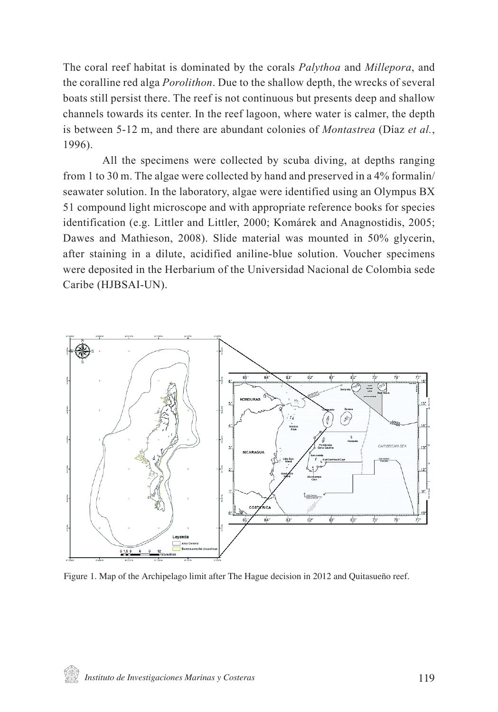The coral reef habitat is dominated by the corals *Palythoa* and *Millepora*, and the coralline red alga *Porolithon*. Due to the shallow depth, the wrecks of several boats still persist there. The reef is not continuous but presents deep and shallow channels towards its center. In the reef lagoon, where water is calmer, the depth is between 5-12 m, and there are abundant colonies of *Montastrea* (Díaz *et al.*, 1996).

All the specimens were collected by scuba diving, at depths ranging from 1 to 30 m. The algae were collected by hand and preserved in a 4% formalin/ seawater solution. In the laboratory, algae were identified using an Olympus BX 51 compound light microscope and with appropriate reference books for species identification (e.g. Littler and Littler, 2000; Komárek and Anagnostidis, 2005; Dawes and Mathieson, 2008). Slide material was mounted in 50% glycerin, after staining in a dilute, acidified aniline-blue solution. Voucher specimens were deposited in the Herbarium of the Universidad Nacional de Colombia sede Caribe (HJBSAI-UN).



Figure 1. Map of the Archipelago limit after The Hague decision in 2012 and Quitasueño reef.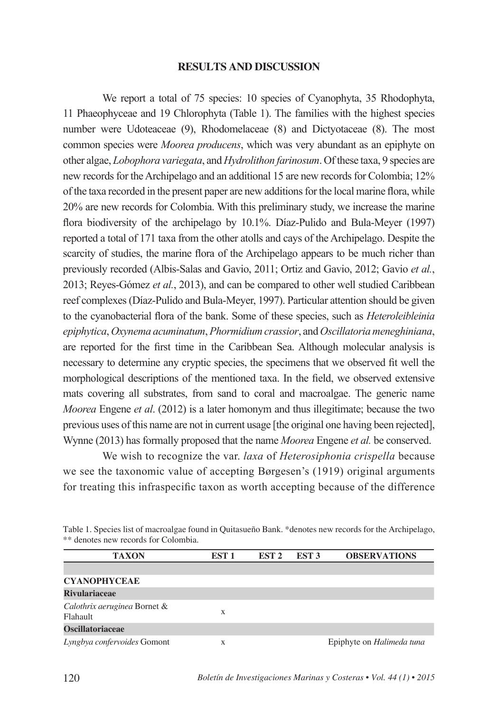#### **RESULTS AND DISCUSSION**

We report a total of 75 species: 10 species of Cyanophyta, 35 Rhodophyta, 11 Phaeophyceae and 19 Chlorophyta (Table 1). The families with the highest species number were Udoteaceae (9), Rhodomelaceae (8) and Dictyotaceae (8). The most common species were *Moorea producens*, which was very abundant as an epiphyte on other algae, *Lobophora variegata*, and *Hydrolithon farinosum*. Of these taxa, 9 species are new records for the Archipelago and an additional 15 are new records for Colombia; 12% of the taxa recorded in the present paper are new additions for the local marine flora, while 20% are new records for Colombia. With this preliminary study, we increase the marine flora biodiversity of the archipelago by 10.1%. Díaz-Pulido and Bula-Meyer (1997) reported a total of 171 taxa from the other atolls and cays of the Archipelago. Despite the scarcity of studies, the marine flora of the Archipelago appears to be much richer than previously recorded (Albis-Salas and Gavio, 2011; Ortiz and Gavio, 2012; Gavio *et al.*, 2013; Reyes-Gómez *et al.*, 2013), and can be compared to other well studied Caribbean reef complexes (Díaz-Pulido and Bula-Meyer, 1997). Particular attention should be given to the cyanobacterial flora of the bank. Some of these species, such as *Heteroleibleinia epiphytica*, *Oxynema acuminatum*, *Phormidium crassior*, and *Oscillatoria meneghiniana*, are reported for the first time in the Caribbean Sea. Although molecular analysis is necessary to determine any cryptic species, the specimens that we observed fit well the morphological descriptions of the mentioned taxa. In the field, we observed extensive mats covering all substrates, from sand to coral and macroalgae. The generic name *Moorea* Engene *et al*. (2012) is a later homonym and thus illegitimate; because the two previous uses of this name are not in current usage [the original one having been rejected], Wynne (2013) has formally proposed that the name *Moorea* Engene *et al.* be conserved.

We wish to recognize the var. *laxa* of *Heterosiphonia crispella* because we see the taxonomic value of accepting Børgesen's (1919) original arguments for treating this infraspecific taxon as worth accepting because of the difference

| <b>TAXON</b>                             | EST 1 | EST <sub>2</sub> | EST <sub>3</sub> | <b>OBSERVATIONS</b>              |
|------------------------------------------|-------|------------------|------------------|----------------------------------|
|                                          |       |                  |                  |                                  |
| <b>CYANOPHYCEAE</b>                      |       |                  |                  |                                  |
| <b>Rivulariaceae</b>                     |       |                  |                  |                                  |
| Calothrix aeruginea Bornet &<br>Flahault | X     |                  |                  |                                  |
| <b>Oscillatoriaceae</b>                  |       |                  |                  |                                  |
| Lyngbya confervoides Gomont              | X     |                  |                  | Epiphyte on <i>Halimeda tuna</i> |

Table 1. Species list of macroalgae found in Quitasueño Bank. \*denotes new records for the Archipelago, \*\* denotes new records for Colombia.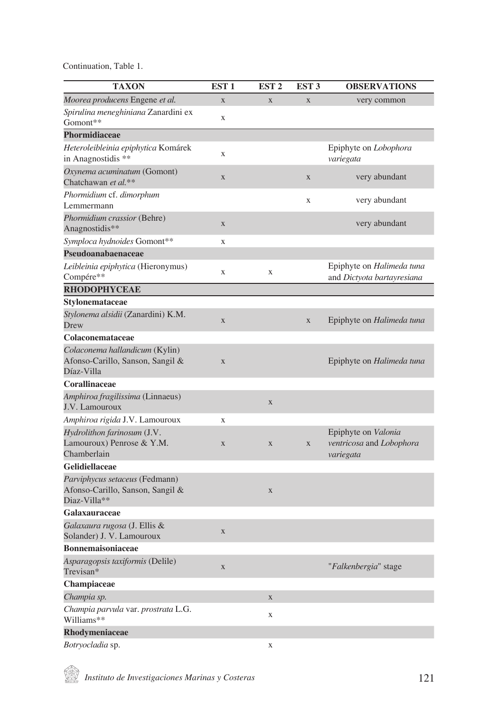| <b>TAXON</b>                                                                       | EST <sub>1</sub> | EST <sub>2</sub> | EST <sub>3</sub> | <b>OBSERVATIONS</b>                                          |
|------------------------------------------------------------------------------------|------------------|------------------|------------------|--------------------------------------------------------------|
| Moorea producens Engene et al.                                                     | $\overline{X}$   | $\bar{X}$        | $\overline{X}$   | very common                                                  |
| Spirulina meneghiniana Zanardini ex                                                | X                |                  |                  |                                                              |
| Gomont**                                                                           |                  |                  |                  |                                                              |
| Phormidiaceae                                                                      |                  |                  |                  |                                                              |
| Heteroleibleinia epiphytica Komárek<br>in Anagnostidis **                          | X                |                  |                  | Epiphyte on <i>Lobophora</i><br>variegata                    |
| Oxynema acuminatum (Gomont)<br>Chatchawan et al.**                                 | X                |                  | $\mathbf X$      | very abundant                                                |
| Phormidium cf. dimorphum<br>Lemmermann                                             |                  |                  | X                | very abundant                                                |
| Phormidium crassior (Behre)<br>Anagnostidis**                                      | $\mathbf X$      |                  |                  | very abundant                                                |
| Symploca hydnoides Gomont**                                                        | X                |                  |                  |                                                              |
| Pseudoanabaenaceae                                                                 |                  |                  |                  |                                                              |
| Leibleinia epiphytica (Hieronymus)<br>Compére**                                    | X                | X                |                  | Epiphyte on Halimeda tuna<br>and Dictyota bartayresiana      |
| <b>RHODOPHYCEAE</b>                                                                |                  |                  |                  |                                                              |
| Stylonemataceae                                                                    |                  |                  |                  |                                                              |
| Stylonema alsidii (Zanardini) K.M.<br>Drew                                         | $\mathbf{X}$     |                  | $\mathbf{X}$     | Epiphyte on Halimeda tuna                                    |
| Colaconemataceae                                                                   |                  |                  |                  |                                                              |
| Colaconema hallandicum (Kylin)<br>Afonso-Carillo, Sanson, Sangil &<br>Díaz-Villa   | $\mathbf X$      |                  |                  | Epiphyte on <i>Halimeda tuna</i>                             |
| Corallinaceae                                                                      |                  |                  |                  |                                                              |
| Amphiroa fragilissima (Linnaeus)<br>J.V. Lamouroux                                 |                  | $\mathbf{X}$     |                  |                                                              |
| Amphiroa rigida J.V. Lamouroux                                                     | X                |                  |                  |                                                              |
| Hydrolithon farinosum (J.V.<br>Lamouroux) Penrose & Y.M.<br>Chamberlain            | X                | $\mathbf{X}$     | X                | Epiphyte on Valonia<br>ventricosa and Lobophora<br>variegata |
| Gelidiellaceae                                                                     |                  |                  |                  |                                                              |
| Parviphycus setaceus (Fedmann)<br>Afonso-Carillo, Sanson, Sangil &<br>Diaz-Villa** |                  | X                |                  |                                                              |
| Galaxauraceae                                                                      |                  |                  |                  |                                                              |
| Galaxaura rugosa (J. Ellis &<br>Solander) J. V. Lamouroux                          | $\mathbf X$      |                  |                  |                                                              |
| <b>Bonnemaisoniaceae</b>                                                           |                  |                  |                  |                                                              |
| Asparagopsis taxiformis (Delile)<br>Trevisan*                                      | $\mathbf X$      |                  |                  | "Falkenbergia" stage                                         |
| Champiaceae                                                                        |                  |                  |                  |                                                              |
| Champia sp.                                                                        |                  | $\mathbf X$      |                  |                                                              |
| Champia parvula var. prostrata L.G.<br>Williams**                                  |                  | X                |                  |                                                              |
| <b>Rhodymeniaceae</b>                                                              |                  |                  |                  |                                                              |
| Botrvocladia sp.                                                                   |                  | X                |                  |                                                              |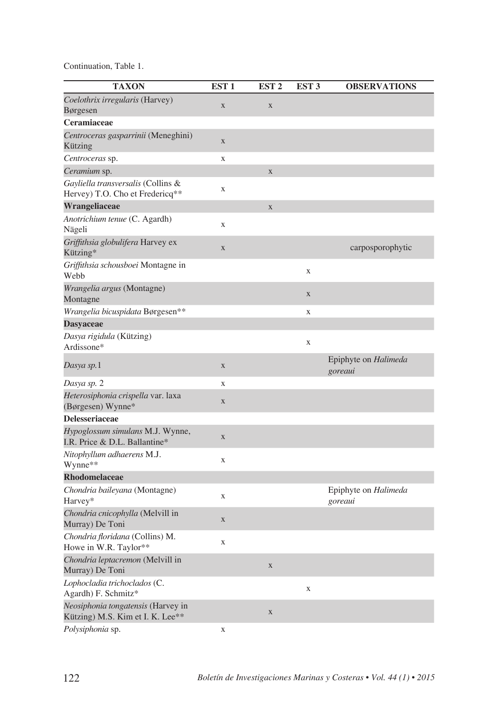| <b>TAXON</b>                                                           | EST <sub>1</sub>   | EST <sub>2</sub>        | EST <sub>3</sub> | <b>OBSERVATIONS</b>             |
|------------------------------------------------------------------------|--------------------|-------------------------|------------------|---------------------------------|
| Coelothrix irregularis (Harvey)                                        | $\mathbf X$        | $\mathbf X$             |                  |                                 |
| Børgesen                                                               |                    |                         |                  |                                 |
| Ceramiaceae                                                            |                    |                         |                  |                                 |
| Centroceras gasparrinii (Meneghini)<br>Kützing                         | $\mathbf X$        |                         |                  |                                 |
| Centroceras sp.                                                        | $\bar{\mathbf{X}}$ |                         |                  |                                 |
| Ceramium sp.                                                           |                    | $\overline{\mathbf{X}}$ |                  |                                 |
| Gayliella transversalis (Collins &<br>Hervey) T.O. Cho et Fredericq**  | X                  |                         |                  |                                 |
| Wrangeliaceae                                                          |                    | $\overline{\mathbf{X}}$ |                  |                                 |
| Anotrichium tenue (C. Agardh)<br>Nägeli                                | X                  |                         |                  |                                 |
| Griffithsia globulifera Harvey ex<br>Kützing*                          | $\mathbf X$        |                         |                  | carposporophytic                |
| Griffithsia schousboei Montagne in<br>Webb                             |                    |                         | $\mathbf X$      |                                 |
| Wrangelia argus (Montagne)<br>Montagne                                 |                    |                         | $\mathbf X$      |                                 |
| Wrangelia bicuspidata Børgesen**                                       |                    |                         | $\mathbf X$      |                                 |
| <b>Dasyaceae</b>                                                       |                    |                         |                  |                                 |
| Dasya rigidula (Kützing)<br>Ardissone*                                 |                    |                         | $\mathbf X$      |                                 |
| Dasya sp.1                                                             | $\mathbf X$        |                         |                  | Epiphyte on Halimeda<br>goreaui |
| Dasya sp. 2                                                            | X                  |                         |                  |                                 |
| Heterosiphonia crispella var. laxa<br>(Børgesen) Wynne*                | $\mathbf X$        |                         |                  |                                 |
| <b>Delesseriaceae</b>                                                  |                    |                         |                  |                                 |
| Hypoglossum simulans M.J. Wynne,<br>I.R. Price & D.L. Ballantine*      | $\mathbf X$        |                         |                  |                                 |
| Nitophyllum adhaerens M.J.<br>Wynne**                                  | X                  |                         |                  |                                 |
| <b>Rhodomelaceae</b>                                                   |                    |                         |                  |                                 |
| Chondria baileyana (Montagne)<br>Harvey*                               | X                  |                         |                  | Epiphyte on Halimeda<br>goreaui |
| Chondria cnicophylla (Melvill in<br>Murray) De Toni                    | X                  |                         |                  |                                 |
| Chondria floridana (Collins) M.<br>Howe in W.R. Taylor**               | X                  |                         |                  |                                 |
| Chondria leptacremon (Melvill in<br>Murray) De Toni                    |                    | $\mathbf X$             |                  |                                 |
| Lophocladia trichoclados (C.<br>Agardh) F. Schmitz*                    |                    |                         | $\mathbf X$      |                                 |
| Neosiphonia tongatensis (Harvey in<br>Kützing) M.S. Kim et I. K. Lee** |                    | $\overline{\mathbf{X}}$ |                  |                                 |
| Polysiphonia sp.                                                       | X                  |                         |                  |                                 |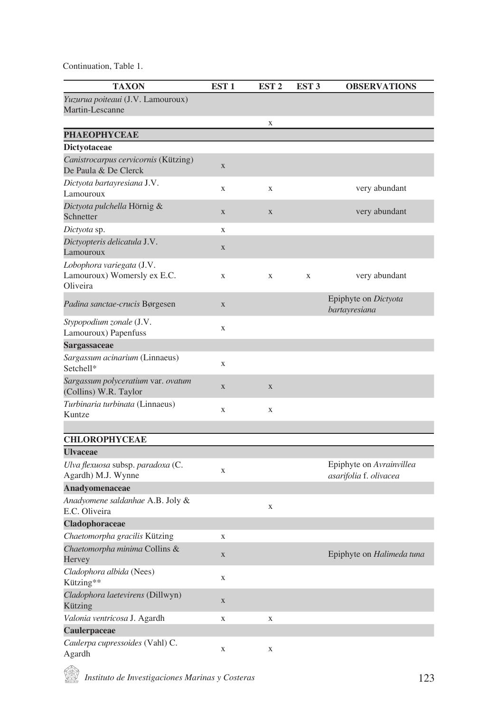| <b>TAXON</b>                                                         | EST <sub>1</sub> | EST <sub>2</sub> | EST <sub>3</sub> | <b>OBSERVATIONS</b>                                |
|----------------------------------------------------------------------|------------------|------------------|------------------|----------------------------------------------------|
| Yuzurua poiteaui (J.V. Lamouroux)<br>Martin-Lescanne                 |                  |                  |                  |                                                    |
|                                                                      |                  | X                |                  |                                                    |
| <b>PHAEOPHYCEAE</b>                                                  |                  |                  |                  |                                                    |
| <b>Dictyotaceae</b>                                                  |                  |                  |                  |                                                    |
| Canistrocarpus cervicornis (Kützing)<br>De Paula & De Clerck         | $\mathbf X$      |                  |                  |                                                    |
| Dictyota bartayresiana J.V.<br>Lamouroux                             | X                | X                |                  | very abundant                                      |
| Dictyota pulchella Hörnig &<br>Schnetter                             | $\mathbf X$      | $\mathbf X$      |                  | very abundant                                      |
| Dictyota sp.                                                         | X                |                  |                  |                                                    |
| Dictyopteris delicatula J.V.<br>Lamouroux                            | $\mathbf X$      |                  |                  |                                                    |
| Lobophora variegata (J.V.<br>Lamouroux) Womersly ex E.C.<br>Oliveira | X                | $\mathbf x$      | $\mathbf X$      | very abundant                                      |
| <i>Padina sanctae-crucis</i> Børgesen                                | $\mathbf X$      |                  |                  | Epiphyte on Dictyota<br>bartayresiana              |
| Stypopodium zonale (J.V.<br>Lamouroux) Papenfuss                     | X                |                  |                  |                                                    |
| Sargassaceae                                                         |                  |                  |                  |                                                    |
| Sargassum acinarium (Linnaeus)<br>Setchell*                          | $\bar{X}$        |                  |                  |                                                    |
| Sargassum polyceratium var. ovatum<br>(Collins) W.R. Taylor          | $\mathbf X$      | $\mathbf X$      |                  |                                                    |
| Turbinaria turbinata (Linnaeus)<br>Kuntze                            | X                | $\mathbf x$      |                  |                                                    |
| <b>CHLOROPHYCEAE</b>                                                 |                  |                  |                  |                                                    |
| <b>Ulvaceae</b>                                                      |                  |                  |                  |                                                    |
| Ulva flexuosa subsp. paradoxa (C.<br>Agardh) M.J. Wynne              | X                |                  |                  | Epiphyte on Avrainvillea<br>asarifolia f. olivacea |
| Anadyomenaceae                                                       |                  |                  |                  |                                                    |
| Anadyomene saldanhae A.B. Joly &<br>E.C. Oliveira                    |                  | $\mathbf x$      |                  |                                                    |
| Cladophoraceae                                                       |                  |                  |                  |                                                    |
| Chaetomorpha gracilis Kützing                                        | X                |                  |                  |                                                    |
| Chaetomorpha minima Collins &<br>Hervey                              | X                |                  |                  | Epiphyte on <i>Halimeda tuna</i>                   |
| Cladophora albida (Nees)<br>Kützing**                                | X                |                  |                  |                                                    |
| <i>Cladophora laetevirens</i> (Dillwyn)<br>Kützing                   | $\overline{X}$   |                  |                  |                                                    |
| Valonia ventricosa J. Agardh                                         | X                | $\overline{X}$   |                  |                                                    |
| Caulerpaceae                                                         |                  |                  |                  |                                                    |
| Caulerpa cupressoides (Vahl) C.<br>Agardh                            | X                | $\mathbf X$      |                  |                                                    |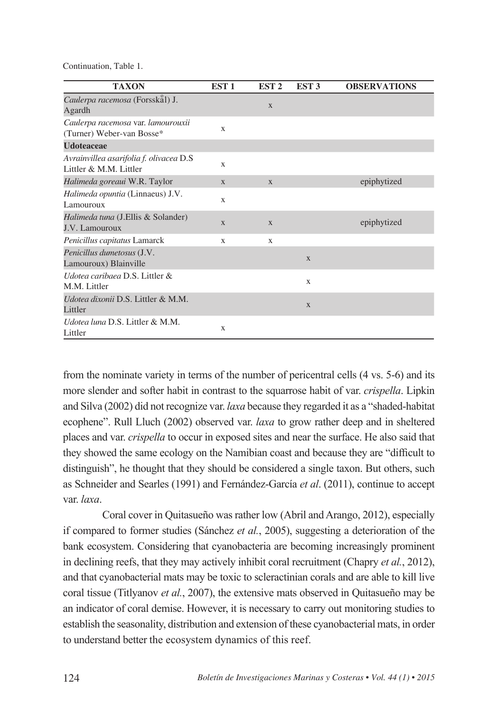| <b>TAXON</b>                                                       | EST <sub>1</sub> | EST <sub>2</sub> | EST <sub>3</sub> | <b>OBSERVATIONS</b> |
|--------------------------------------------------------------------|------------------|------------------|------------------|---------------------|
| Caulerpa racemosa (Forsskål) J.<br>Agardh                          |                  | X                |                  |                     |
| Caulerpa racemosa var. lamourouxii<br>(Turner) Weber-van Bosse*    | X                |                  |                  |                     |
| <b>Udoteaceae</b>                                                  |                  |                  |                  |                     |
| Avrainvillea asarifolia f. olivacea D.S.<br>Littler & M.M. Littler | $\mathbf x$      |                  |                  |                     |
| Halimeda goreaui W.R. Taylor                                       | X                | X                |                  | epiphytized         |
| Halimeda opuntia (Linnaeus) J.V.<br>Lamouroux                      | X                |                  |                  |                     |
| Halimeda tuna (J.Ellis & Solander)<br>J.V. Lamouroux               | X                | X                |                  | epiphytized         |
| Penicillus capitatus Lamarck                                       | X                | X                |                  |                     |
| Penicillus dumetosus (J.V.<br>Lamouroux) Blainville                |                  |                  | X                |                     |
| Udotea caribaea D.S. Littler &<br>M.M. Littler                     |                  |                  | X                |                     |
| Udotea dixonii D.S. Littler & M.M.<br>Littler                      |                  |                  | X                |                     |
| <i>Udotea luna D.S. Littler &amp; M.M.</i><br>Littler              | X                |                  |                  |                     |

from the nominate variety in terms of the number of pericentral cells (4 vs. 5-6) and its more slender and softer habit in contrast to the squarrose habit of var. *crispella*. Lipkin and Silva (2002) did not recognize var. *laxa* because they regarded it as a "shaded-habitat ecophene". Rull Lluch (2002) observed var. *laxa* to grow rather deep and in sheltered places and var. *crispella* to occur in exposed sites and near the surface. He also said that they showed the same ecology on the Namibian coast and because they are "difficult to distinguish", he thought that they should be considered a single taxon. But others, such as Schneider and Searles (1991) and Fernández-García *et al*. (2011), continue to accept var. *laxa*.

Coral cover in Quitasueño was rather low (Abril and Arango, 2012), especially if compared to former studies (Sánchez *et al.*, 2005), suggesting a deterioration of the bank ecosystem. Considering that cyanobacteria are becoming increasingly prominent in declining reefs, that they may actively inhibit coral recruitment (Chapry *et al.*, 2012), and that cyanobacterial mats may be toxic to scleractinian corals and are able to kill live coral tissue (Titlyanov *et al.*, 2007), the extensive mats observed in Quitasueño may be an indicator of coral demise. However, it is necessary to carry out monitoring studies to establish the seasonality, distribution and extension of these cyanobacterial mats, in order to understand better the ecosystem dynamics of this reef.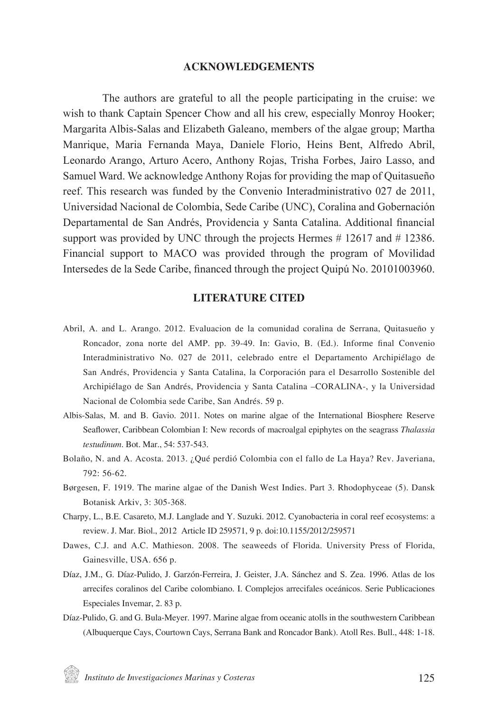### **ACKNOWLEDGEMENTS**

The authors are grateful to all the people participating in the cruise: we wish to thank Captain Spencer Chow and all his crew, especially Monroy Hooker; Margarita Albis-Salas and Elizabeth Galeano, members of the algae group; Martha Manrique, Maria Fernanda Maya, Daniele Florio, Heins Bent, Alfredo Abril, Leonardo Arango, Arturo Acero, Anthony Rojas, Trisha Forbes, Jairo Lasso, and Samuel Ward. We acknowledge Anthony Rojas for providing the map of Quitasueño reef. This research was funded by the Convenio Interadministrativo 027 de 2011, Universidad Nacional de Colombia, Sede Caribe (UNC), Coralina and Gobernación Departamental de San Andrés, Providencia y Santa Catalina. Additional financial support was provided by UNC through the projects Hermes  $# 12617$  and  $# 12386$ . Financial support to MACO was provided through the program of Movilidad Intersedes de la Sede Caribe, financed through the project Quipú No. 20101003960.

### **LITERATURE CITED**

- Abril, A. and L. Arango. 2012. Evaluacion de la comunidad coralina de Serrana, Quitasueño y Roncador, zona norte del AMP. pp. 39-49. In: Gavio, B. (Ed.). Informe final Convenio Interadministrativo No. 027 de 2011, celebrado entre el Departamento Archipiélago de San Andrés, Providencia y Santa Catalina, la Corporación para el Desarrollo Sostenible del Archipiélago de San Andrés, Providencia y Santa Catalina –CORALINA-, y la Universidad Nacional de Colombia sede Caribe, San Andrés. 59 p.
- Albis-Salas, M. and B. Gavio. 2011. Notes on marine algae of the International Biosphere Reserve Seaflower, Caribbean Colombian I: New records of macroalgal epiphytes on the seagrass *Thalassia testudinum*. Bot. Mar., 54: 537-543.
- Bolaño, N. and A. Acosta. 2013. ¿Qué perdió Colombia con el fallo de La Haya? Rev. Javeriana, 792: 56-62.
- Børgesen, F. 1919. The marine algae of the Danish West Indies. Part 3. Rhodophyceae (5). Dansk Botanisk Arkiv, 3: 305-368.
- Charpy, L., B.E. Casareto, M.J. Langlade and Y. Suzuki. 2012. Cyanobacteria in coral reef ecosystems: a review. J. Mar. Biol., 2012 Article ID 259571, 9 p. doi:10.1155/2012/259571
- Dawes, C.J. and A.C. Mathieson. 2008. The seaweeds of Florida. University Press of Florida, Gainesville, USA. 656 p.
- Díaz, J.M., G. Díaz-Pulido, J. Garzón-Ferreira, J. Geister, J.A. Sánchez and S. Zea. 1996. Atlas de los arrecifes coralinos del Caribe colombiano. I. Complejos arrecifales oceánicos. Serie Publicaciones Especiales Invemar, 2. 83 p.
- Díaz-Pulido, G. and G. Bula-Meyer. 1997. Marine algae from oceanic atolls in the southwestern Caribbean (Albuquerque Cays, Courtown Cays, Serrana Bank and Roncador Bank). Atoll Res. Bull., 448: 1-18.